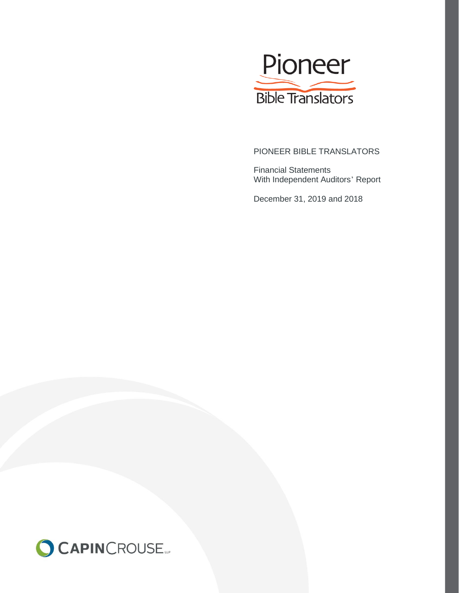

Financial Statements With Independent Auditors' Report

December 31, 2019 and 2018

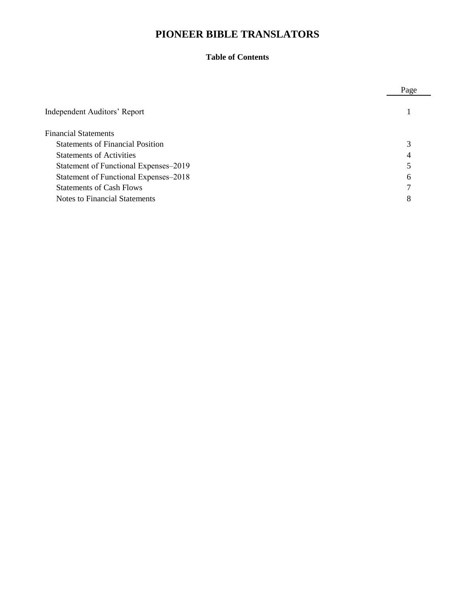# **Table of Contents**

|                                         | Page |
|-----------------------------------------|------|
| Independent Auditors' Report            |      |
| <b>Financial Statements</b>             |      |
| <b>Statements of Financial Position</b> | 3    |
| <b>Statements of Activities</b>         | 4    |
| Statement of Functional Expenses–2019   | 5    |
| Statement of Functional Expenses–2018   | 6    |
| <b>Statements of Cash Flows</b>         | ⇁    |
| <b>Notes to Financial Statements</b>    | 8    |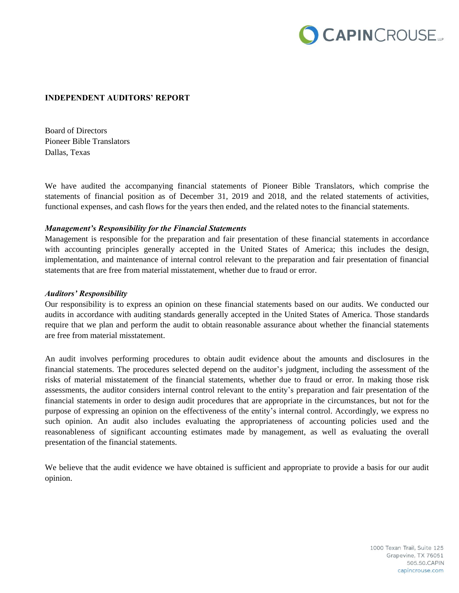

#### **INDEPENDENT AUDITORS' REPORT**

Board of Directors Pioneer Bible Translators Dallas, Texas

We have audited the accompanying financial statements of Pioneer Bible Translators, which comprise the statements of financial position as of December 31, 2019 and 2018, and the related statements of activities, functional expenses, and cash flows for the years then ended, and the related notes to the financial statements.

#### *Management's Responsibility for the Financial Statements*

Management is responsible for the preparation and fair presentation of these financial statements in accordance with accounting principles generally accepted in the United States of America; this includes the design, implementation, and maintenance of internal control relevant to the preparation and fair presentation of financial statements that are free from material misstatement, whether due to fraud or error.

#### *Auditors' Responsibility*

Our responsibility is to express an opinion on these financial statements based on our audits. We conducted our audits in accordance with auditing standards generally accepted in the United States of America. Those standards require that we plan and perform the audit to obtain reasonable assurance about whether the financial statements are free from material misstatement.

An audit involves performing procedures to obtain audit evidence about the amounts and disclosures in the financial statements. The procedures selected depend on the auditor's judgment, including the assessment of the risks of material misstatement of the financial statements, whether due to fraud or error. In making those risk assessments, the auditor considers internal control relevant to the entity's preparation and fair presentation of the financial statements in order to design audit procedures that are appropriate in the circumstances, but not for the purpose of expressing an opinion on the effectiveness of the entity's internal control. Accordingly, we express no such opinion. An audit also includes evaluating the appropriateness of accounting policies used and the reasonableness of significant accounting estimates made by management, as well as evaluating the overall presentation of the financial statements.

We believe that the audit evidence we have obtained is sufficient and appropriate to provide a basis for our audit opinion.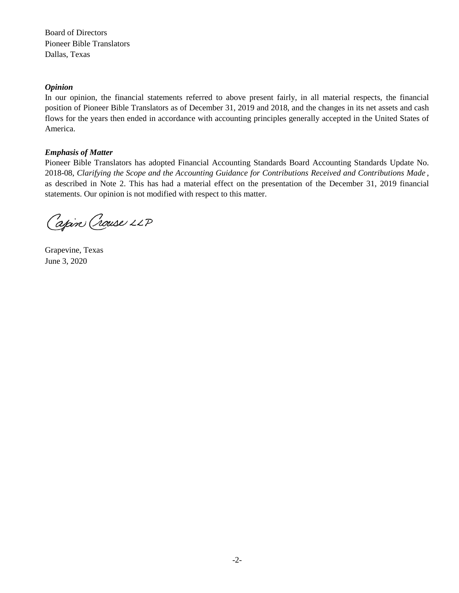Board of Directors Pioneer Bible Translators Dallas, Texas

### *Opinion*

In our opinion, the financial statements referred to above present fairly, in all material respects, the financial position of Pioneer Bible Translators as of December 31, 2019 and 2018, and the changes in its net assets and cash flows for the years then ended in accordance with accounting principles generally accepted in the United States of America.

### *Emphasis of Matter*

Pioneer Bible Translators has adopted Financial Accounting Standards Board Accounting Standards Update No. 2018-08, *Clarifying the Scope and the Accounting Guidance for Contributions Received and Contributions Made* , as described in Note 2. This has had a material effect on the presentation of the December 31, 2019 financial statements. Our opinion is not modified with respect to this matter.

Capin Crouse LLP

Grapevine, Texas June 3, 2020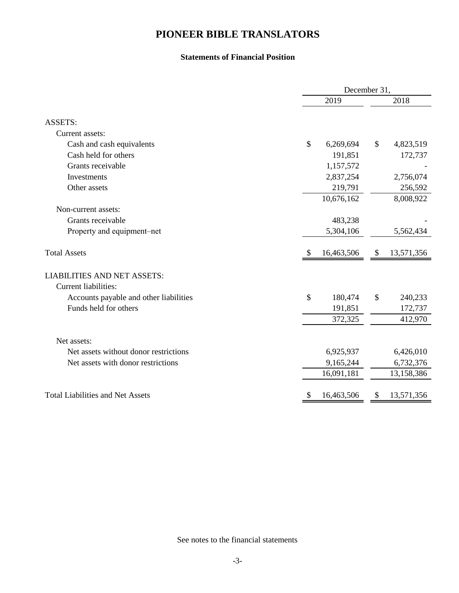# **Statements of Financial Position**

|                                         |              | December 31, |      |            |  |  |  |
|-----------------------------------------|--------------|--------------|------|------------|--|--|--|
|                                         |              |              | 2018 |            |  |  |  |
| <b>ASSETS:</b>                          |              |              |      |            |  |  |  |
| Current assets:                         |              |              |      |            |  |  |  |
| Cash and cash equivalents               | \$           | 6,269,694    | \$   | 4,823,519  |  |  |  |
| Cash held for others                    |              | 191,851      |      | 172,737    |  |  |  |
| Grants receivable                       |              | 1,157,572    |      |            |  |  |  |
| Investments                             |              | 2,837,254    |      | 2,756,074  |  |  |  |
| Other assets                            |              | 219,791      |      | 256,592    |  |  |  |
|                                         |              | 10,676,162   |      | 8,008,922  |  |  |  |
| Non-current assets:                     |              |              |      |            |  |  |  |
| Grants receivable                       |              | 483,238      |      |            |  |  |  |
| Property and equipment-net              |              | 5,304,106    |      | 5,562,434  |  |  |  |
| <b>Total Assets</b>                     | <sup>8</sup> | 16,463,506   | \$   | 13,571,356 |  |  |  |
| <b>LIABILITIES AND NET ASSETS:</b>      |              |              |      |            |  |  |  |
| <b>Current liabilities:</b>             |              |              |      |            |  |  |  |
| Accounts payable and other liabilities  | \$           | 180,474      | \$   | 240,233    |  |  |  |
| Funds held for others                   |              | 191,851      |      | 172,737    |  |  |  |
|                                         |              | 372,325      |      | 412,970    |  |  |  |
| Net assets:                             |              |              |      |            |  |  |  |
| Net assets without donor restrictions   |              | 6,925,937    |      | 6,426,010  |  |  |  |
| Net assets with donor restrictions      |              | 9,165,244    |      | 6,732,376  |  |  |  |
|                                         |              | 16,091,181   |      | 13,158,386 |  |  |  |
|                                         |              |              |      |            |  |  |  |
| <b>Total Liabilities and Net Assets</b> | S            | 16,463,506   | \$   | 13,571,356 |  |  |  |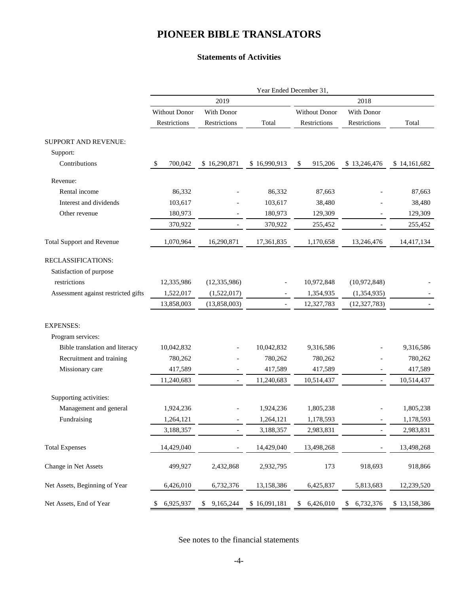### **Statements of Activities**

|                                     | Year Ended December 31, |                          |                          |                 |                 |              |  |  |
|-------------------------------------|-------------------------|--------------------------|--------------------------|-----------------|-----------------|--------------|--|--|
|                                     |                         | 2019                     |                          |                 | 2018            |              |  |  |
|                                     | Without Donor           | With Donor               |                          | Without Donor   | With Donor      |              |  |  |
|                                     | Restrictions            | Restrictions             | Total                    | Restrictions    | Restrictions    | Total        |  |  |
| SUPPORT AND REVENUE:                |                         |                          |                          |                 |                 |              |  |  |
| Support:                            |                         |                          |                          |                 |                 |              |  |  |
| Contributions                       | 700.042<br>\$           | \$16,290,871             | \$16,990,913             | 915,206<br>\$   | \$13,246,476    | \$14,161,682 |  |  |
| Revenue:                            |                         |                          |                          |                 |                 |              |  |  |
| Rental income                       | 86,332                  |                          | 86,332                   | 87,663          |                 | 87,663       |  |  |
| Interest and dividends              | 103,617                 |                          | 103,617                  | 38,480          |                 | 38,480       |  |  |
| Other revenue                       | 180,973                 | $\overline{\phantom{a}}$ | 180,973                  | 129,309         |                 | 129,309      |  |  |
|                                     | 370,922                 | $\overline{a}$           | 370,922                  | 255,452         |                 | 255,452      |  |  |
| <b>Total Support and Revenue</b>    | 1,070,964               | 16,290,871               | 17,361,835               | 1,170,658       | 13,246,476      | 14,417,134   |  |  |
| RECLASSIFICATIONS:                  |                         |                          |                          |                 |                 |              |  |  |
| Satisfaction of purpose             |                         |                          |                          |                 |                 |              |  |  |
| restrictions                        | 12,335,986              | (12, 335, 986)           |                          | 10,972,848      | (10,972,848)    |              |  |  |
| Assessment against restricted gifts | 1,522,017               | (1,522,017)              | $\overline{\phantom{a}}$ | 1,354,935       | (1,354,935)     |              |  |  |
|                                     | 13,858,003              | (13,858,003)             | $\blacksquare$           | 12,327,783      | (12, 327, 783)  |              |  |  |
| <b>EXPENSES:</b>                    |                         |                          |                          |                 |                 |              |  |  |
| Program services:                   |                         |                          |                          |                 |                 |              |  |  |
| Bible translation and literacy      | 10,042,832              |                          | 10,042,832               | 9,316,586       |                 | 9,316,586    |  |  |
| Recruitment and training            | 780,262                 |                          | 780,262                  | 780,262         |                 | 780,262      |  |  |
| Missionary care                     | 417,589                 |                          | 417,589                  | 417,589         |                 | 417,589      |  |  |
|                                     | 11,240,683              |                          | 11,240,683               | 10,514,437      |                 | 10,514,437   |  |  |
| Supporting activities:              |                         |                          |                          |                 |                 |              |  |  |
| Management and general              | 1,924,236               |                          | 1,924,236                | 1,805,238       |                 | 1,805,238    |  |  |
| Fundraising                         | 1,264,121               |                          | 1,264,121                | 1,178,593       |                 | 1,178,593    |  |  |
|                                     | 3,188,357               |                          | 3,188,357                | 2,983,831       |                 | 2,983,831    |  |  |
| <b>Total Expenses</b>               | 14,429,040              |                          | 14,429,040               | 13,498,268      |                 | 13,498,268   |  |  |
| Change in Net Assets                | 499,927                 | 2,432,868                | 2,932,795                | 173             | 918,693         | 918,866      |  |  |
| Net Assets, Beginning of Year       | 6,426,010               | 6,732,376                | 13,158,386               | 6,425,837       | 5,813,683       | 12,239,520   |  |  |
| Net Assets, End of Year             | \$<br>6,925,937         | 9,165,244<br>\$          | \$16,091,181             | \$<br>6,426,010 | \$<br>6,732,376 | \$13,158,386 |  |  |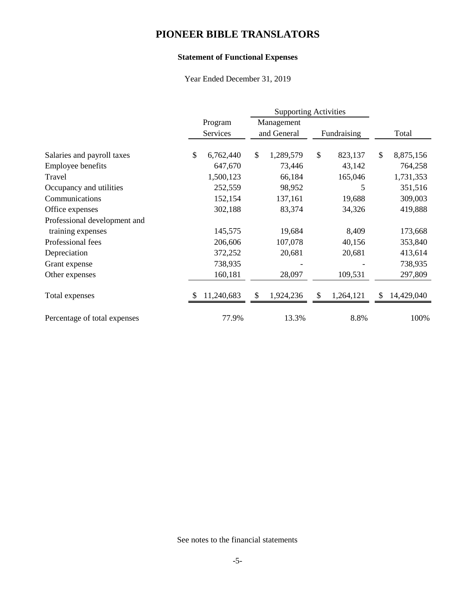# **Statement of Functional Expenses**

Year Ended December 31, 2019

|                              |    | <b>Supporting Activities</b> |    |             |              |             |    |            |
|------------------------------|----|------------------------------|----|-------------|--------------|-------------|----|------------|
|                              |    | Program                      |    | Management  |              |             |    |            |
|                              |    | Services                     |    | and General |              | Fundraising |    | Total      |
| Salaries and payroll taxes   | \$ | 6,762,440                    | \$ | 1,289,579   | $\mathbb{S}$ | 823,137     | \$ | 8,875,156  |
| Employee benefits            |    | 647,670                      |    | 73,446      |              | 43,142      |    | 764,258    |
| Travel                       |    | 1,500,123                    |    | 66,184      |              | 165,046     |    | 1,731,353  |
| Occupancy and utilities      |    | 252,559                      |    | 98,952      |              | 5           |    | 351,516    |
| Communications               |    | 152,154                      |    | 137,161     |              | 19,688      |    | 309,003    |
| Office expenses              |    | 302,188                      |    | 83,374      |              | 34,326      |    | 419,888    |
| Professional development and |    |                              |    |             |              |             |    |            |
| training expenses            |    | 145,575                      |    | 19,684      |              | 8,409       |    | 173,668    |
| Professional fees            |    | 206,606                      |    | 107,078     |              | 40,156      |    | 353,840    |
| Depreciation                 |    | 372,252                      |    | 20,681      |              | 20,681      |    | 413,614    |
| Grant expense                |    | 738,935                      |    |             |              |             |    | 738,935    |
| Other expenses               |    | 160,181                      |    | 28,097      |              | 109,531     |    | 297,809    |
| Total expenses               |    | 11,240,683                   | \$ | 1,924,236   | \$           | 1,264,121   | \$ | 14,429,040 |
| Percentage of total expenses |    | 77.9%                        |    | 13.3%       |              | 8.8%        |    | 100%       |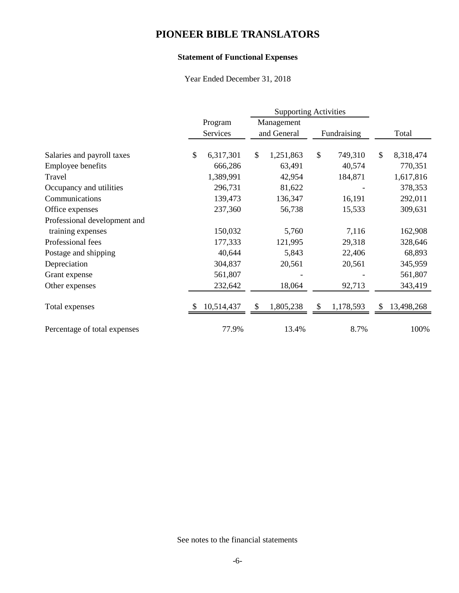# **Statement of Functional Expenses**

Year Ended December 31, 2018

|                              |               |                       | <b>Supporting Activities</b> |             |              |             |     |            |
|------------------------------|---------------|-----------------------|------------------------------|-------------|--------------|-------------|-----|------------|
|                              |               | Program<br>Management |                              |             |              |             |     |            |
|                              |               | Services              |                              | and General |              | Fundraising |     | Total      |
| Salaries and payroll taxes   | $\mathcal{S}$ | 6,317,301             | \$                           | 1,251,863   | $\mathbb{S}$ | 749,310     | \$  | 8,318,474  |
| Employee benefits            |               | 666,286               |                              | 63,491      |              | 40,574      |     | 770,351    |
| Travel                       |               | 1,389,991             |                              | 42,954      |              | 184,871     |     | 1,617,816  |
| Occupancy and utilities      |               | 296,731               |                              | 81,622      |              |             |     | 378,353    |
| Communications               |               | 139,473               |                              | 136,347     |              | 16,191      |     | 292,011    |
| Office expenses              |               | 237,360               |                              | 56,738      |              | 15,533      |     | 309,631    |
| Professional development and |               |                       |                              |             |              |             |     |            |
| training expenses            |               | 150,032               |                              | 5,760       |              | 7,116       |     | 162,908    |
| Professional fees            |               | 177,333               |                              | 121,995     |              | 29,318      |     | 328,646    |
| Postage and shipping         |               | 40,644                |                              | 5,843       |              | 22,406      |     | 68,893     |
| Depreciation                 |               | 304,837               |                              | 20,561      |              | 20,561      |     | 345,959    |
| Grant expense                |               | 561,807               |                              |             |              |             |     | 561,807    |
| Other expenses               |               | 232,642               |                              | 18,064      |              | 92,713      |     | 343,419    |
| Total expenses               |               | 10,514,437            | S                            | 1,805,238   | \$           | 1,178,593   | \$. | 13,498,268 |
| Percentage of total expenses |               | 77.9%                 |                              | 13.4%       |              | 8.7%        |     | 100%       |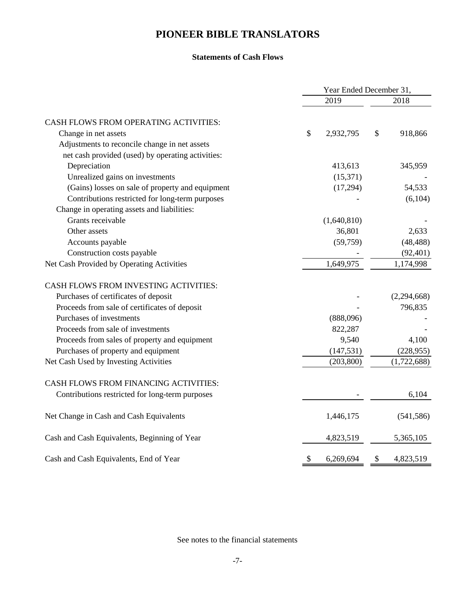# **Statements of Cash Flows**

|                                                   | Year Ended December 31, |             |    |               |  |
|---------------------------------------------------|-------------------------|-------------|----|---------------|--|
|                                                   |                         | 2019        |    | 2018          |  |
| CASH FLOWS FROM OPERATING ACTIVITIES:             |                         |             |    |               |  |
| Change in net assets                              | \$                      | 2,932,795   | \$ | 918,866       |  |
| Adjustments to reconcile change in net assets     |                         |             |    |               |  |
| net cash provided (used) by operating activities: |                         |             |    |               |  |
| Depreciation                                      |                         | 413,613     |    | 345,959       |  |
| Unrealized gains on investments                   |                         | (15,371)    |    |               |  |
| (Gains) losses on sale of property and equipment  |                         | (17,294)    |    | 54,533        |  |
| Contributions restricted for long-term purposes   |                         |             |    | (6,104)       |  |
| Change in operating assets and liabilities:       |                         |             |    |               |  |
| Grants receivable                                 |                         | (1,640,810) |    |               |  |
| Other assets                                      |                         | 36,801      |    | 2,633         |  |
| Accounts payable                                  |                         | (59,759)    |    | (48, 488)     |  |
| Construction costs payable                        |                         |             |    | (92, 401)     |  |
| Net Cash Provided by Operating Activities         |                         | 1,649,975   |    | 1,174,998     |  |
| CASH FLOWS FROM INVESTING ACTIVITIES:             |                         |             |    |               |  |
| Purchases of certificates of deposit              |                         |             |    | (2, 294, 668) |  |
| Proceeds from sale of certificates of deposit     |                         |             |    | 796,835       |  |
| Purchases of investments                          |                         | (888,096)   |    |               |  |
| Proceeds from sale of investments                 |                         | 822,287     |    |               |  |
| Proceeds from sales of property and equipment     |                         | 9,540       |    | 4,100         |  |
| Purchases of property and equipment               |                         | (147, 531)  |    | (228, 955)    |  |
| Net Cash Used by Investing Activities             |                         | (203, 800)  |    | (1,722,688)   |  |
| <b>CASH FLOWS FROM FINANCING ACTIVITIES:</b>      |                         |             |    |               |  |
| Contributions restricted for long-term purposes   |                         |             |    | 6,104         |  |
| Net Change in Cash and Cash Equivalents           |                         | 1,446,175   |    | (541, 586)    |  |
| Cash and Cash Equivalents, Beginning of Year      |                         | 4,823,519   |    | 5,365,105     |  |
| Cash and Cash Equivalents, End of Year            | \$                      | 6,269,694   | \$ | 4,823,519     |  |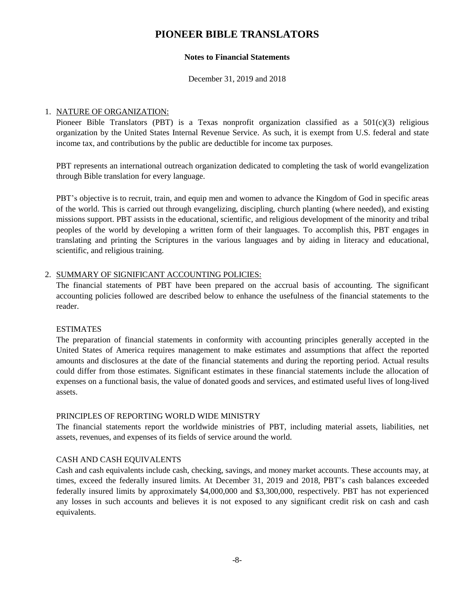### **Notes to Financial Statements**

December 31, 2019 and 2018

### 1. NATURE OF ORGANIZATION:

Pioneer Bible Translators (PBT) is a Texas nonprofit organization classified as a  $501(c)(3)$  religious organization by the United States Internal Revenue Service. As such, it is exempt from U.S. federal and state income tax, and contributions by the public are deductible for income tax purposes.

PBT represents an international outreach organization dedicated to completing the task of world evangelization through Bible translation for every language.

PBT's objective is to recruit, train, and equip men and women to advance the Kingdom of God in specific areas of the world. This is carried out through evangelizing, discipling, church planting (where needed), and existing missions support. PBT assists in the educational, scientific, and religious development of the minority and tribal peoples of the world by developing a written form of their languages. To accomplish this, PBT engages in translating and printing the Scriptures in the various languages and by aiding in literacy and educational, scientific, and religious training.

### 2. SUMMARY OF SIGNIFICANT ACCOUNTING POLICIES:

The financial statements of PBT have been prepared on the accrual basis of accounting. The significant accounting policies followed are described below to enhance the usefulness of the financial statements to the reader.

### ESTIMATES

The preparation of financial statements in conformity with accounting principles generally accepted in the United States of America requires management to make estimates and assumptions that affect the reported amounts and disclosures at the date of the financial statements and during the reporting period. Actual results could differ from those estimates. Significant estimates in these financial statements include the allocation of expenses on a functional basis, the value of donated goods and services, and estimated useful lives of long-lived assets.

# PRINCIPLES OF REPORTING WORLD WIDE MINISTRY

The financial statements report the worldwide ministries of PBT, including material assets, liabilities, net assets, revenues, and expenses of its fields of service around the world.

# CASH AND CASH EQUIVALENTS

Cash and cash equivalents include cash, checking, savings, and money market accounts. These accounts may, at times, exceed the federally insured limits. At December 31, 2019 and 2018, PBT's cash balances exceeded federally insured limits by approximately \$4,000,000 and \$3,300,000, respectively. PBT has not experienced any losses in such accounts and believes it is not exposed to any significant credit risk on cash and cash equivalents.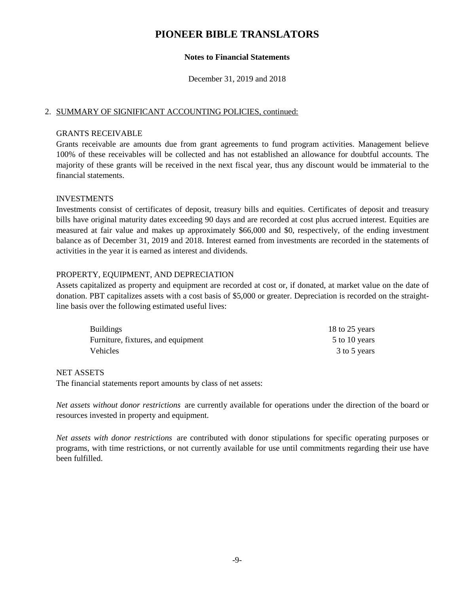### **Notes to Financial Statements**

December 31, 2019 and 2018

### 2. SUMMARY OF SIGNIFICANT ACCOUNTING POLICIES, continued:

### GRANTS RECEIVABLE

Grants receivable are amounts due from grant agreements to fund program activities. Management believe 100% of these receivables will be collected and has not established an allowance for doubtful accounts. The majority of these grants will be received in the next fiscal year, thus any discount would be immaterial to the financial statements.

### INVESTMENTS

Investments consist of certificates of deposit, treasury bills and equities. Certificates of deposit and treasury bills have original maturity dates exceeding 90 days and are recorded at cost plus accrued interest. Equities are measured at fair value and makes up approximately \$66,000 and \$0, respectively, of the ending investment balance as of December 31, 2019 and 2018. Interest earned from investments are recorded in the statements of activities in the year it is earned as interest and dividends.

### PROPERTY, EQUIPMENT, AND DEPRECIATION

Assets capitalized as property and equipment are recorded at cost or, if donated, at market value on the date of donation. PBT capitalizes assets with a cost basis of \$5,000 or greater. Depreciation is recorded on the straightline basis over the following estimated useful lives:

| <b>Buildings</b>                   | 18 to 25 years |
|------------------------------------|----------------|
| Furniture, fixtures, and equipment | 5 to 10 years  |
| Vehicles                           | 3 to 5 years   |

# NET ASSETS

The financial statements report amounts by class of net assets:

*Net assets without donor restrictions* are currently available for operations under the direction of the board or resources invested in property and equipment.

*Net assets with donor restrictions* are contributed with donor stipulations for specific operating purposes or programs, with time restrictions, or not currently available for use until commitments regarding their use have been fulfilled.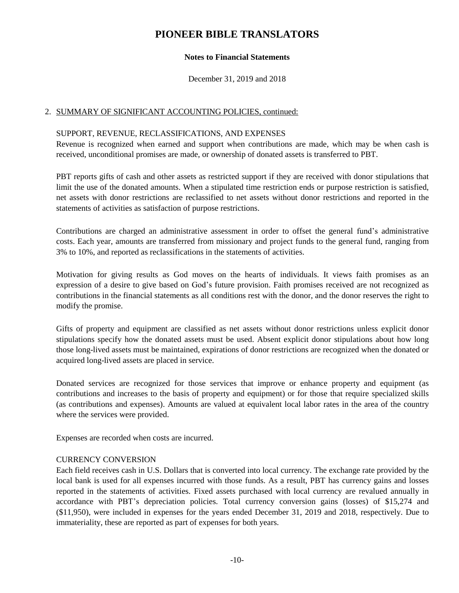### **Notes to Financial Statements**

December 31, 2019 and 2018

### 2. SUMMARY OF SIGNIFICANT ACCOUNTING POLICIES, continued:

### SUPPORT, REVENUE, RECLASSIFICATIONS, AND EXPENSES

Revenue is recognized when earned and support when contributions are made, which may be when cash is received, unconditional promises are made, or ownership of donated assets is transferred to PBT.

PBT reports gifts of cash and other assets as restricted support if they are received with donor stipulations that limit the use of the donated amounts. When a stipulated time restriction ends or purpose restriction is satisfied, net assets with donor restrictions are reclassified to net assets without donor restrictions and reported in the statements of activities as satisfaction of purpose restrictions.

Contributions are charged an administrative assessment in order to offset the general fund's administrative costs. Each year, amounts are transferred from missionary and project funds to the general fund, ranging from 3% to 10%, and reported as reclassifications in the statements of activities.

Motivation for giving results as God moves on the hearts of individuals. It views faith promises as an expression of a desire to give based on God's future provision. Faith promises received are not recognized as contributions in the financial statements as all conditions rest with the donor, and the donor reserves the right to modify the promise.

Gifts of property and equipment are classified as net assets without donor restrictions unless explicit donor stipulations specify how the donated assets must be used. Absent explicit donor stipulations about how long those long-lived assets must be maintained, expirations of donor restrictions are recognized when the donated or acquired long-lived assets are placed in service.

Donated services are recognized for those services that improve or enhance property and equipment (as contributions and increases to the basis of property and equipment) or for those that require specialized skills (as contributions and expenses). Amounts are valued at equivalent local labor rates in the area of the country where the services were provided.

Expenses are recorded when costs are incurred.

# CURRENCY CONVERSION

Each field receives cash in U.S. Dollars that is converted into local currency. The exchange rate provided by the local bank is used for all expenses incurred with those funds. As a result, PBT has currency gains and losses reported in the statements of activities. Fixed assets purchased with local currency are revalued annually in accordance with PBT's depreciation policies. Total currency conversion gains (losses) of \$15,274 and (\$11,950), were included in expenses for the years ended December 31, 2019 and 2018, respectively. Due to immateriality, these are reported as part of expenses for both years.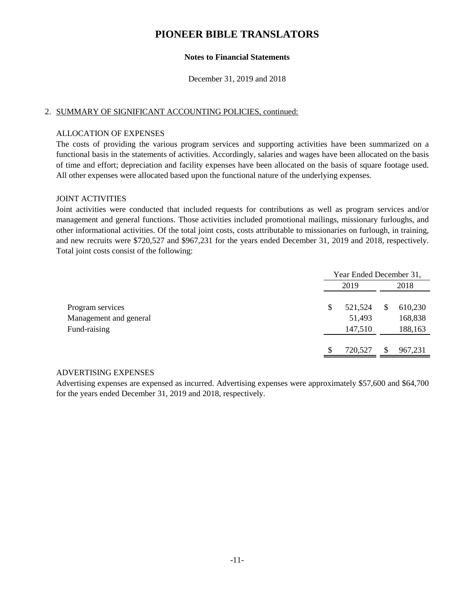### **Notes to Financial Statements**

December 31, 2019 and 2018

### 2. SUMMARY OF SIGNIFICANT ACCOUNTING POLICIES, continued:

### ALLOCATION OF EXPENSES

The costs of providing the various program services and supporting activities have been summarized on a functional basis in the statements of activities. Accordingly, salaries and wages have been allocated on the basis of time and effort; depreciation and facility expenses have been allocated on the basis of square footage used. All other expenses were allocated based upon the functional nature of the underlying expenses.

### JOINT ACTIVITIES

Joint activities were conducted that included requests for contributions as well as program services and/or management and general functions. Those activities included promotional mailings, missionary furloughs, and other informational activities. Of the total joint costs, costs attributable to missionaries on furlough, in training, and new recruits were \$720,527 and \$967,231 for the years ended December 31, 2019 and 2018, respectively. Total joint costs consist of the following:

|                                                            | Year Ended December 31, |                              |   |                               |  |
|------------------------------------------------------------|-------------------------|------------------------------|---|-------------------------------|--|
|                                                            | 2019                    |                              |   | 2018                          |  |
| Program services<br>Management and general<br>Fund-raising | \$                      | 521,524<br>51,493<br>147,510 |   | 610,230<br>168,838<br>188,163 |  |
|                                                            | S                       | 720,527                      | S | 967,231                       |  |

### ADVERTISING EXPENSES

Advertising expenses are expensed as incurred. Advertising expenses were approximately \$57,600 and \$64,700 for the years ended December 31, 2019 and 2018, respectively.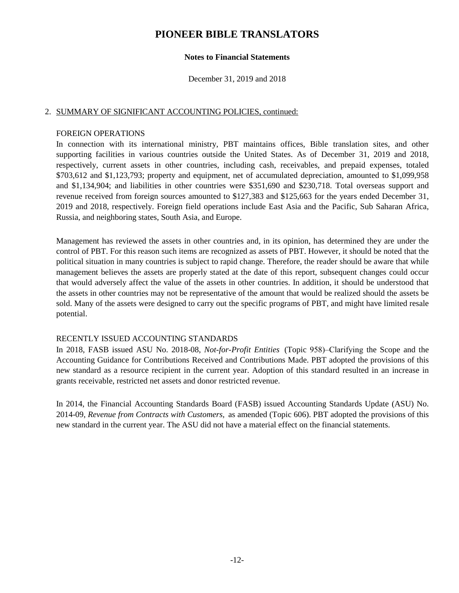### **Notes to Financial Statements**

December 31, 2019 and 2018

### 2. SUMMARY OF SIGNIFICANT ACCOUNTING POLICIES, continued:

### FOREIGN OPERATIONS

In connection with its international ministry, PBT maintains offices, Bible translation sites, and other supporting facilities in various countries outside the United States. As of December 31, 2019 and 2018, respectively, current assets in other countries, including cash, receivables, and prepaid expenses, totaled \$703,612 and \$1,123,793; property and equipment, net of accumulated depreciation, amounted to \$1,099,958 and \$1,134,904; and liabilities in other countries were \$351,690 and \$230,718. Total overseas support and revenue received from foreign sources amounted to \$127,383 and \$125,663 for the years ended December 31, 2019 and 2018, respectively. Foreign field operations include East Asia and the Pacific, Sub Saharan Africa, Russia, and neighboring states, South Asia, and Europe.

Management has reviewed the assets in other countries and, in its opinion, has determined they are under the control of PBT. For this reason such items are recognized as assets of PBT. However, it should be noted that the political situation in many countries is subject to rapid change. Therefore, the reader should be aware that while management believes the assets are properly stated at the date of this report, subsequent changes could occur that would adversely affect the value of the assets in other countries. In addition, it should be understood that the assets in other countries may not be representative of the amount that would be realized should the assets be sold. Many of the assets were designed to carry out the specific programs of PBT, and might have limited resale potential.

### RECENTLY ISSUED ACCOUNTING STANDARDS

In 2018, FASB issued ASU No. 2018-08, *Not-for-Profit Entities* (Topic 958)–Clarifying the Scope and the Accounting Guidance for Contributions Received and Contributions Made. PBT adopted the provisions of this new standard as a resource recipient in the current year. Adoption of this standard resulted in an increase in grants receivable, restricted net assets and donor restricted revenue.

In 2014, the Financial Accounting Standards Board (FASB) issued Accounting Standards Update (ASU) No. 2014-09, *Revenue from Contracts with Customers,* as amended (Topic 606). PBT adopted the provisions of this new standard in the current year. The ASU did not have a material effect on the financial statements.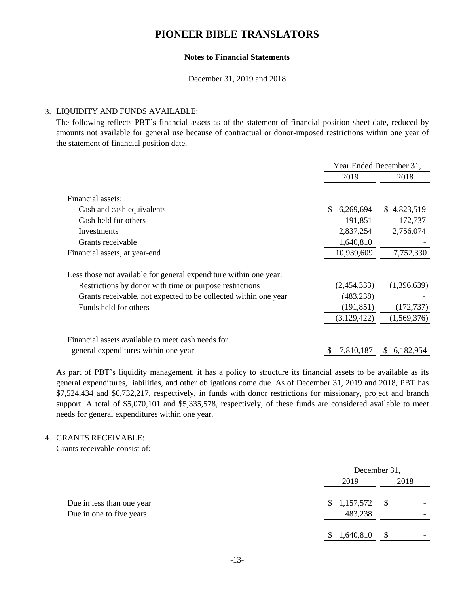### **Notes to Financial Statements**

December 31, 2019 and 2018

### 3. LIQUIDITY AND FUNDS AVAILABLE:

The following reflects PBT's financial assets as of the statement of financial position sheet date, reduced by amounts not available for general use because of contractual or donor-imposed restrictions within one year of the statement of financial position date.

|                                                                                                                                             | Year Ended December 31,                                            |                                                  |  |  |
|---------------------------------------------------------------------------------------------------------------------------------------------|--------------------------------------------------------------------|--------------------------------------------------|--|--|
|                                                                                                                                             | 2019                                                               | 2018                                             |  |  |
| Financial assets:<br>Cash and cash equivalents<br>Cash held for others<br>Investments<br>Grants receivable<br>Financial assets, at year-end | \$<br>6,269,694<br>191,851<br>2,837,254<br>1,640,810<br>10,939,609 | \$4,823,519<br>172,737<br>2,756,074<br>7,752,330 |  |  |
|                                                                                                                                             |                                                                    |                                                  |  |  |
| Less those not available for general expenditure within one year:                                                                           |                                                                    |                                                  |  |  |
| Restrictions by donor with time or purpose restrictions                                                                                     | (2,454,333)                                                        | (1,396,639)                                      |  |  |
| Grants receivable, not expected to be collected within one year                                                                             | (483, 238)                                                         |                                                  |  |  |
| Funds held for others                                                                                                                       | (191, 851)                                                         | (172, 737)                                       |  |  |
|                                                                                                                                             | (3,129,422)                                                        | (1,569,376)                                      |  |  |
| Financial assets available to meet cash needs for                                                                                           |                                                                    |                                                  |  |  |
| general expenditures within one year                                                                                                        | 7,810,187                                                          | $\mathbb{S}$<br>6,182,954                        |  |  |

As part of PBT's liquidity management, it has a policy to structure its financial assets to be available as its general expenditures, liabilities, and other obligations come due. As of December 31, 2019 and 2018, PBT has \$7,524,434 and \$6,732,217, respectively, in funds with donor restrictions for missionary, project and branch support. A total of \$5,070,101 and \$5,335,578, respectively, of these funds are considered available to meet needs for general expenditures within one year.

4. GRANTS RECEIVABLE:

Grants receivable consist of:

|                                                       |                                      | December 31, |      |  |  |
|-------------------------------------------------------|--------------------------------------|--------------|------|--|--|
|                                                       | 2019                                 |              | 2018 |  |  |
| Due in less than one year<br>Due in one to five years | 1,157,572<br><sup>S</sup><br>483,238 | -\$          |      |  |  |
|                                                       | 1,640,810<br><sup>S</sup>            | \$           |      |  |  |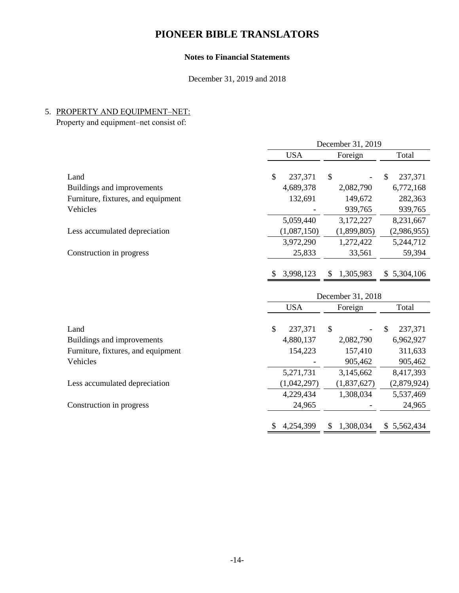# **Notes to Financial Statements**

December 31, 2019 and 2018

### 5. PROPERTY AND EQUIPMENT–NET:

Property and equipment–net consist of:

|                                    |    | December 31, 2019 |    |                          |    |             |  |  |
|------------------------------------|----|-------------------|----|--------------------------|----|-------------|--|--|
|                                    |    | <b>USA</b>        |    | Foreign                  |    | Total       |  |  |
|                                    |    |                   |    |                          |    |             |  |  |
| Land                               | \$ | 237,371           | \$ | $\overline{\phantom{a}}$ | \$ | 237,371     |  |  |
| Buildings and improvements         |    | 4,689,378         |    | 2,082,790                |    | 6,772,168   |  |  |
| Furniture, fixtures, and equipment |    | 132,691           |    | 149,672                  |    | 282,363     |  |  |
| Vehicles                           |    |                   |    | 939,765                  |    | 939,765     |  |  |
|                                    |    | 5,059,440         |    | 3,172,227                |    | 8,231,667   |  |  |
| Less accumulated depreciation      |    | (1,087,150)       |    | (1,899,805)              |    | (2,986,955) |  |  |
|                                    |    | 3,972,290         |    | 1,272,422                |    | 5,244,712   |  |  |
| Construction in progress           |    | 25,833            |    | 33,561                   |    | 59,394      |  |  |
|                                    |    |                   |    |                          |    |             |  |  |
|                                    | S  | 3,998,123         | S  | 1,305,983                |    | \$5,304,106 |  |  |

|                                    | December 31, 2018 |             |     |             |    |             |  |
|------------------------------------|-------------------|-------------|-----|-------------|----|-------------|--|
|                                    |                   | <b>USA</b>  |     | Foreign     |    | Total       |  |
|                                    |                   |             |     |             |    |             |  |
| Land                               | $\mathcal{S}$     | 237,371     | \$  |             | \$ | 237,371     |  |
| Buildings and improvements         |                   | 4,880,137   |     | 2,082,790   |    | 6,962,927   |  |
| Furniture, fixtures, and equipment |                   | 154,223     |     | 157,410     |    | 311,633     |  |
| Vehicles                           |                   |             |     | 905,462     |    | 905,462     |  |
|                                    |                   | 5,271,731   |     | 3,145,662   |    | 8,417,393   |  |
| Less accumulated depreciation      |                   | (1,042,297) |     | (1,837,627) |    | (2,879,924) |  |
|                                    |                   | 4,229,434   |     | 1,308,034   |    | 5,537,469   |  |
| Construction in progress           |                   | 24,965      |     |             |    | 24,965      |  |
|                                    |                   |             |     |             |    |             |  |
|                                    |                   | 4,254,399   | \$. | 1,308,034   |    | \$5,562,434 |  |